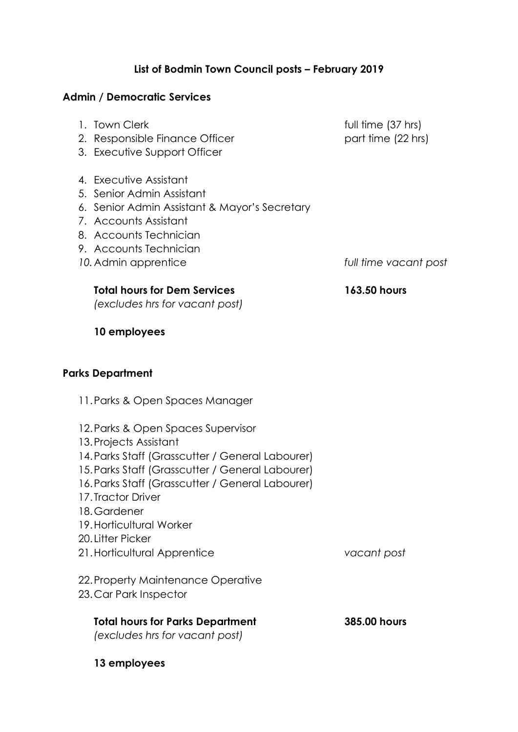## **List of Bodmin Town Council posts – February 2019**

## **Admin / Democratic Services**

| 2. Responsible Finance Officer<br>3. Executive Support Officer                                                                                                                                                                                                                                                  | וטוו ווטן טוווווטו<br>part time (22 hrs) |
|-----------------------------------------------------------------------------------------------------------------------------------------------------------------------------------------------------------------------------------------------------------------------------------------------------------------|------------------------------------------|
| 4. Executive Assistant<br>5. Senior Admin Assistant<br>6. Senior Admin Assistant & Mayor's Secretary<br>7. Accounts Assistant<br>8. Accounts Technician<br>9. Accounts Technician<br>10. Admin apprentice                                                                                                       | full time vacant post                    |
| <b>Total hours for Dem Services</b><br>(excludes hrs for vacant post)                                                                                                                                                                                                                                           | 163.50 hours                             |
| 10 employees                                                                                                                                                                                                                                                                                                    |                                          |
| <b>Parks Department</b>                                                                                                                                                                                                                                                                                         |                                          |
| 11. Parks & Open Spaces Manager                                                                                                                                                                                                                                                                                 |                                          |
| 12. Parks & Open Spaces Supervisor<br>13. Projects Assistant<br>14. Parks Staff (Grasscutter / General Labourer)<br>15. Parks Staff (Grasscutter / General Labourer)<br>16. Parks Staff (Grasscutter / General Labourer)<br>17. Tractor Driver<br>18. Gardener<br>19. Horticultural Worker<br>20. Litter Picker |                                          |
| 21. Horticultural Apprentice                                                                                                                                                                                                                                                                                    | vacant post                              |
| 22. Property Maintenance Operative<br>23. Car Park Inspector                                                                                                                                                                                                                                                    |                                          |
| <b>Total hours for Parks Department</b><br>(excludes hrs for vacant post)                                                                                                                                                                                                                                       | 385.00 hours                             |

1. Town Clerk **full time** (37 hrs)

**13 employees**